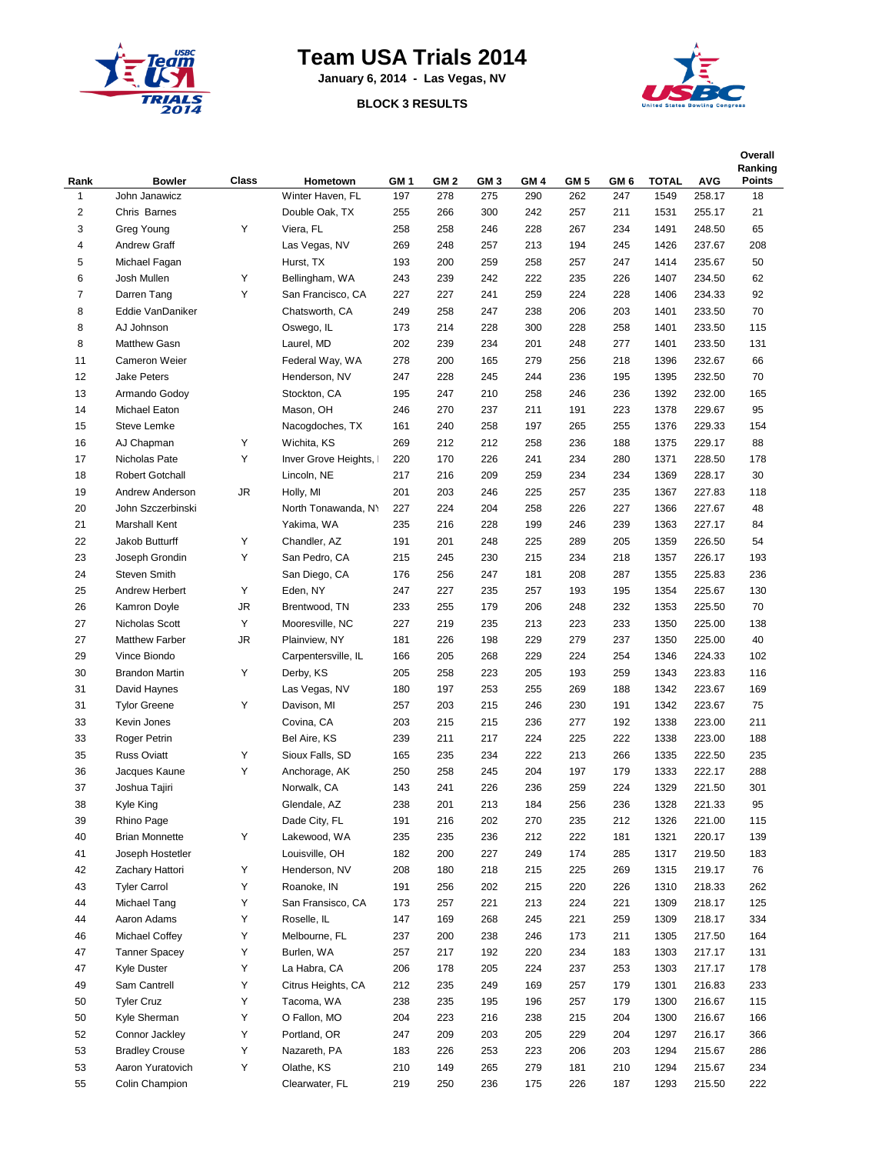

## **Team USA Trials 2014**

**January 6, 2014 - Las Vegas, NV**

## **BLOCK 3 RESULTS**



| Rank                    | <b>Bowler</b>           | Class  | Hometown                      | GM <sub>1</sub> | GM <sub>2</sub> | GM <sub>3</sub> | GM <sub>4</sub> | GM <sub>5</sub> | GM 6       | <b>TOTAL</b> | <b>AVG</b>       | Overall<br>Ranking<br><b>Points</b> |
|-------------------------|-------------------------|--------|-------------------------------|-----------------|-----------------|-----------------|-----------------|-----------------|------------|--------------|------------------|-------------------------------------|
| $\mathbf{1}$            | John Janawicz           |        | Winter Haven, FL              | 197             | 278             | 275             | 290             | 262             | 247        | 1549         | 258.17           | 18                                  |
| $\overline{\mathbf{c}}$ | Chris Barnes            |        | Double Oak, TX                | 255             | 266             | 300             | 242             | 257             | 211        | 1531         | 255.17           | 21                                  |
| 3                       | Greg Young              | Υ      | Viera, FL                     | 258             | 258             | 246             | 228             | 267             | 234        | 1491         | 248.50           | 65                                  |
| $\overline{4}$          | <b>Andrew Graff</b>     |        | Las Vegas, NV                 | 269             | 248             | 257             | 213             | 194             | 245        | 1426         | 237.67           | 208                                 |
| 5                       | Michael Fagan           |        | Hurst, TX                     | 193             | 200             | 259             | 258             | 257             | 247        | 1414         | 235.67           | 50                                  |
| 6                       | Josh Mullen             | Υ      | Bellingham, WA                | 243             | 239             | 242             | 222             | 235             | 226        | 1407         | 234.50           | 62                                  |
| $\overline{7}$          | Darren Tang             | Υ      | San Francisco, CA             | 227             | 227             | 241             | 259             | 224             | 228        | 1406         | 234.33           | 92                                  |
| 8                       | Eddie VanDaniker        |        | Chatsworth, CA                | 249             | 258             | 247             | 238             | 206             | 203        | 1401         | 233.50           | 70                                  |
| 8                       | AJ Johnson              |        | Oswego, IL                    | 173             | 214             | 228             | 300             | 228             | 258        | 1401         | 233.50           | 115                                 |
| 8                       | Matthew Gasn            |        | Laurel, MD                    | 202             | 239             | 234             | 201             | 248             | 277        | 1401         | 233.50           | 131                                 |
| 11                      | Cameron Weier           |        | Federal Way, WA               | 278             | 200             | 165             | 279             | 256             | 218        | 1396         | 232.67           | 66                                  |
| 12                      | <b>Jake Peters</b>      |        | Henderson, NV                 | 247             | 228             | 245             | 244             | 236             | 195        | 1395         | 232.50           | 70                                  |
| 13                      | Armando Godoy           |        | Stockton, CA                  | 195             | 247             | 210             | 258             | 246             | 236        | 1392         | 232.00           | 165                                 |
| 14                      | Michael Eaton           |        | Mason, OH                     | 246             | 270             | 237             | 211             | 191             | 223        | 1378         | 229.67           | 95                                  |
| 15                      | Steve Lemke             |        | Nacogdoches, TX               | 161             | 240             | 258             | 197             | 265             | 255        | 1376         | 229.33           | 154                                 |
| 16                      | AJ Chapman              | Υ      | Wichita, KS                   | 269             | 212             | 212             | 258             | 236             | 188        | 1375         | 229.17           | 88                                  |
| 17                      | Nicholas Pate           | Υ      | Inver Grove Heights,          | 220             | 170             | 226             | 241             | 234             | 280        | 1371         | 228.50           | 178                                 |
| 18                      | <b>Robert Gotchall</b>  |        | Lincoln, NE                   | 217             | 216             | 209             | 259             | 234             | 234        | 1369         | 228.17           | 30                                  |
| 19                      | Andrew Anderson         | JR     | Holly, MI                     | 201             | 203             | 246             | 225             | 257             | 235        | 1367         | 227.83           | 118                                 |
| 20                      | John Szczerbinski       |        | North Tonawanda, NY           | 227             | 224             | 204             | 258             | 226             | 227        | 1366         | 227.67           | 48                                  |
| 21                      | <b>Marshall Kent</b>    |        | Yakima, WA                    | 235             | 216             | 228             | 199             | 246             | 239        | 1363         | 227.17           | 84                                  |
| 22                      | Jakob Butturff          | Υ      | Chandler, AZ                  | 191             | 201             | 248             | 225             | 289             | 205        | 1359         | 226.50           | 54                                  |
| 23                      | Joseph Grondin          | Υ      | San Pedro, CA                 | 215             | 245             | 230             | 215             | 234             | 218        | 1357         | 226.17           | 193                                 |
| 24                      | <b>Steven Smith</b>     |        | San Diego, CA                 | 176             | 256             | 247             | 181             | 208             | 287        | 1355         | 225.83           | 236                                 |
| 25                      | Andrew Herbert          | Υ      | Eden, NY                      | 247             | 227             | 235             | 257             | 193             | 195        | 1354         | 225.67           | 130                                 |
| 26                      | Kamron Doyle            | JR     | Brentwood, TN                 | 233             | 255             | 179             | 206             | 248             | 232        | 1353         | 225.50           | 70                                  |
| 27                      | Nicholas Scott          | Υ      | Mooresville, NC               | 227             | 219             | 235             | 213             | 223             | 233        | 1350         | 225.00           | 138                                 |
| 27                      | <b>Matthew Farber</b>   | JR     | Plainview, NY                 | 181             | 226             | 198             | 229             | 279             | 237        | 1350         | 225.00           | 40                                  |
| 29                      | Vince Biondo            |        | Carpentersville, IL           | 166             | 205             | 268             | 229             | 224             | 254        | 1346         | 224.33           | 102                                 |
| 30                      | <b>Brandon Martin</b>   | Υ      | Derby, KS                     | 205             | 258             | 223             | 205             | 193             | 259        | 1343         | 223.83           | 116                                 |
| 31                      | David Haynes            |        | Las Vegas, NV                 | 180             | 197             | 253             | 255             | 269             | 188        | 1342         | 223.67           | 169                                 |
| 31                      | <b>Tylor Greene</b>     | Υ      | Davison, MI                   | 257             | 203             | 215             | 246             | 230             | 191        | 1342         | 223.67           | 75                                  |
| 33                      | Kevin Jones             |        | Covina, CA                    | 203             | 215             | 215             | 236             | 277             | 192        | 1338         | 223.00           | 211                                 |
| 33                      | Roger Petrin            |        | Bel Aire, KS                  | 239             | 211             | 217             | 224             | 225             | 222        | 1338         | 223.00           | 188                                 |
| 35<br>36                | <b>Russ Oviatt</b>      | Υ<br>Υ | Sioux Falls, SD               | 165             | 235             | 234             | 222             | 213             | 266        | 1335         | 222.50           | 235                                 |
|                         | Jacques Kaune           |        | Anchorage, AK                 | 250             | 258             | 245             | 204             | 197             | 179        | 1333         | 222.17           | 288                                 |
| 37                      | Joshua Tajiri           |        | Norwalk, CA                   | 143             | 241             | 226             | 236             | 259             | 224        | 1329         | 221.50           | 301                                 |
| 38                      | Kyle King<br>Rhino Page |        | Glendale, AZ<br>Dade City, FL | 238             | 201             | 213             | 184<br>270      | 256             | 236<br>212 | 1328         | 221.33           | 95                                  |
| 39<br>40                | <b>Brian Monnette</b>   | Υ      | Lakewood, WA                  | 191<br>235      | 216<br>235      | 202<br>236      | 212             | 235<br>222      |            | 1326         | 221.00<br>220.17 | 115                                 |
| 41                      | Joseph Hostetler        |        | Louisville, OH                | 182             | 200             | 227             | 249             | 174             | 181<br>285 | 1321<br>1317 | 219.50           | 139<br>183                          |
| 42                      | Zachary Hattori         | Υ      | Henderson, NV                 | 208             | 180             | 218             | 215             | 225             | 269        | 1315         | 219.17           | 76                                  |
| 43                      | <b>Tyler Carrol</b>     | Υ      | Roanoke, IN                   | 191             | 256             | 202             | 215             | 220             | 226        | 1310         | 218.33           | 262                                 |
| 44                      | Michael Tang            | Υ      | San Fransisco, CA             | 173             | 257             | 221             | 213             | 224             | 221        | 1309         | 218.17           | 125                                 |
| 44                      | Aaron Adams             | Υ      | Roselle, IL                   | 147             | 169             | 268             | 245             | 221             | 259        | 1309         | 218.17           | 334                                 |
| 46                      | Michael Coffey          | Υ      | Melbourne, FL                 | 237             | 200             | 238             | 246             | 173             | 211        | 1305         | 217.50           | 164                                 |
| 47                      | <b>Tanner Spacey</b>    | Υ      | Burlen, WA                    | 257             | 217             | 192             | 220             | 234             | 183        | 1303         | 217.17           | 131                                 |
| 47                      | Kyle Duster             | Υ      | La Habra, CA                  | 206             | 178             | 205             | 224             | 237             | 253        | 1303         | 217.17           | 178                                 |
| 49                      | Sam Cantrell            | Υ      | Citrus Heights, CA            | 212             | 235             | 249             | 169             | 257             | 179        | 1301         | 216.83           | 233                                 |
| 50                      | <b>Tyler Cruz</b>       | Υ      | Tacoma, WA                    | 238             | 235             | 195             | 196             | 257             | 179        | 1300         |                  | 115                                 |
|                         | Kyle Sherman            | Υ      | O Fallon, MO                  | 204             |                 |                 |                 |                 |            |              | 216.67           |                                     |
| 50<br>52                | Connor Jackley          | Υ      | Portland, OR                  | 247             | 223<br>209      | 216<br>203      | 238<br>205      | 215<br>229      | 204<br>204 | 1300<br>1297 | 216.67<br>216.17 | 166<br>366                          |
| 53                      | <b>Bradley Crouse</b>   | Υ      | Nazareth, PA                  | 183             |                 | 253             |                 |                 |            |              |                  |                                     |
| 53                      | Aaron Yuratovich        | Υ      | Olathe, KS                    | 210             | 226<br>149      | 265             | 223<br>279      | 206<br>181      | 203<br>210 | 1294<br>1294 | 215.67<br>215.67 | 286<br>234                          |
| 55                      | Colin Champion          |        | Clearwater, FL                |                 |                 |                 | 175             |                 |            |              |                  |                                     |
|                         |                         |        |                               | 219             | 250             | 236             |                 | 226             | 187        | 1293         | 215.50           | 222                                 |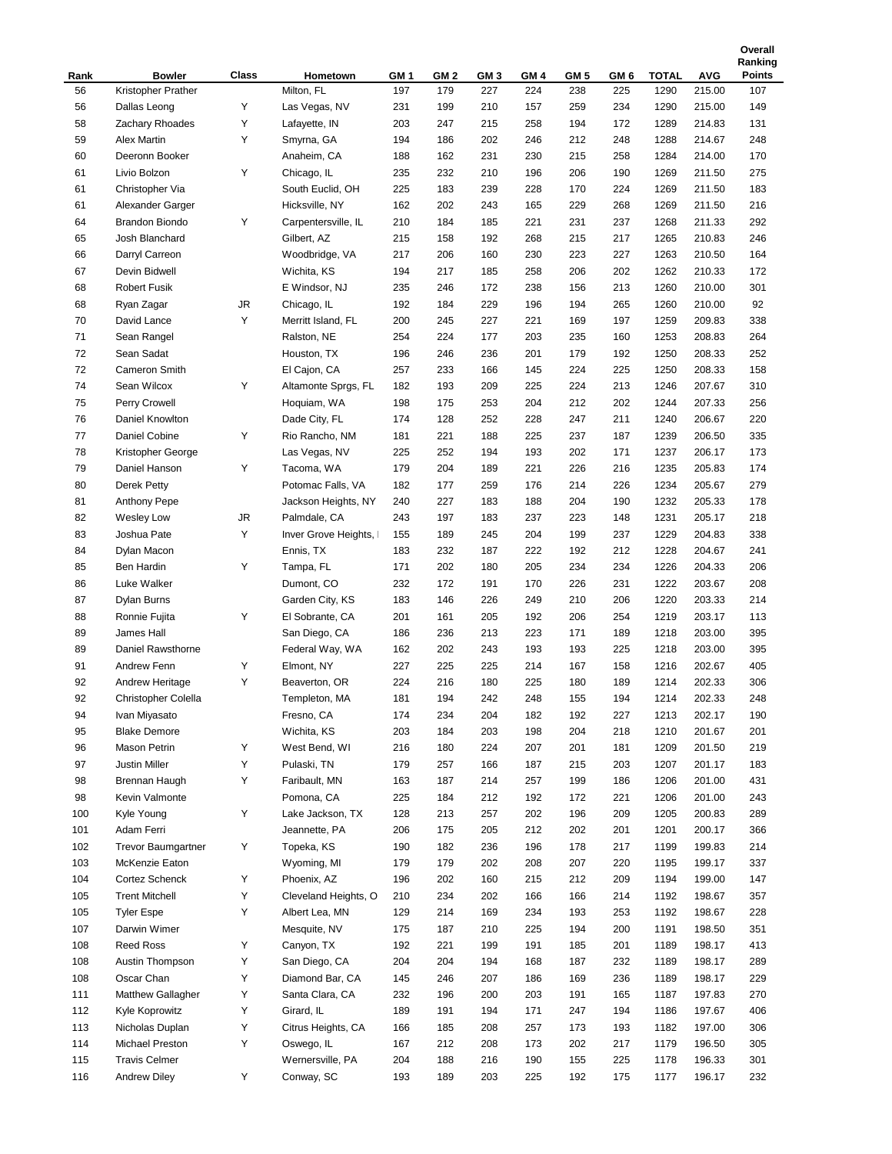|      |                           |       |                      |      |                 |                 |      |      |      |       |            | Ranking       |
|------|---------------------------|-------|----------------------|------|-----------------|-----------------|------|------|------|-------|------------|---------------|
| Rank | <b>Bowler</b>             | Class | Hometown             | GM 1 | GM <sub>2</sub> | GM <sub>3</sub> | GM 4 | GM 5 | GM 6 | TOTAL | <b>AVG</b> | <b>Points</b> |
| 56   | Kristopher Prather        |       | Milton, FL           | 197  | 179             | 227             | 224  | 238  | 225  | 1290  | 215.00     | 107           |
| 56   | Dallas Leong              | Y     | Las Vegas, NV        | 231  | 199             | 210             | 157  | 259  | 234  | 1290  | 215.00     | 149           |
| 58   | Zachary Rhoades           | Υ     | Lafayette, IN        | 203  | 247             | 215             | 258  | 194  | 172  | 1289  | 214.83     | 131           |
| 59   | <b>Alex Martin</b>        | Υ     | Smyrna, GA           | 194  | 186             | 202             | 246  | 212  | 248  | 1288  | 214.67     | 248           |
| 60   | Deeronn Booker            |       | Anaheim, CA          | 188  | 162             | 231             | 230  | 215  | 258  | 1284  | 214.00     | 170           |
| 61   | Livio Bolzon              | Υ     | Chicago, IL          | 235  | 232             | 210             | 196  | 206  | 190  | 1269  | 211.50     | 275           |
| 61   | Christopher Via           |       | South Euclid, OH     | 225  | 183             | 239             | 228  | 170  | 224  | 1269  | 211.50     | 183           |
| 61   | Alexander Garger          |       | Hicksville, NY       | 162  | 202             | 243             | 165  | 229  | 268  | 1269  | 211.50     | 216           |
| 64   | <b>Brandon Biondo</b>     | Υ     | Carpentersville, IL  | 210  | 184             | 185             | 221  | 231  | 237  | 1268  | 211.33     | 292           |
| 65   | Josh Blanchard            |       | Gilbert, AZ          | 215  | 158             | 192             | 268  | 215  | 217  | 1265  | 210.83     | 246           |
| 66   | Darryl Carreon            |       | Woodbridge, VA       | 217  | 206             | 160             | 230  | 223  | 227  | 1263  | 210.50     | 164           |
| 67   | Devin Bidwell             |       | Wichita, KS          | 194  | 217             | 185             | 258  | 206  | 202  | 1262  | 210.33     | 172           |
| 68   | <b>Robert Fusik</b>       |       | E Windsor, NJ        | 235  | 246             | 172             | 238  | 156  | 213  | 1260  | 210.00     | 301           |
| 68   | Ryan Zagar                | JR    | Chicago, IL          | 192  | 184             | 229             | 196  | 194  | 265  | 1260  | 210.00     | 92            |
| 70   | David Lance               | Υ     | Merritt Island, FL   | 200  | 245             | 227             | 221  | 169  | 197  | 1259  | 209.83     | 338           |
| 71   | Sean Rangel               |       | Ralston, NE          | 254  | 224             | 177             | 203  | 235  | 160  | 1253  | 208.83     | 264           |
| 72   | Sean Sadat                |       | Houston, TX          | 196  | 246             | 236             | 201  | 179  | 192  | 1250  | 208.33     | 252           |
| 72   | <b>Cameron Smith</b>      |       | El Cajon, CA         | 257  | 233             | 166             | 145  | 224  | 225  | 1250  | 208.33     | 158           |
| 74   | Sean Wilcox               | Υ     | Altamonte Sprgs, FL  | 182  | 193             | 209             | 225  | 224  | 213  | 1246  | 207.67     | 310           |
| 75   | Perry Crowell             |       | Hoquiam, WA          | 198  | 175             | 253             | 204  | 212  | 202  | 1244  | 207.33     | 256           |
| 76   | Daniel Knowlton           |       | Dade City, FL        | 174  | 128             | 252             | 228  | 247  | 211  | 1240  | 206.67     | 220           |
| 77   | Daniel Cobine             | Y     | Rio Rancho, NM       | 181  | 221             | 188             | 225  | 237  | 187  | 1239  | 206.50     | 335           |
| 78   | Kristopher George         |       | Las Vegas, NV        | 225  | 252             | 194             | 193  | 202  | 171  | 1237  | 206.17     | 173           |
| 79   | Daniel Hanson             | Υ     | Tacoma, WA           | 179  | 204             | 189             | 221  | 226  | 216  | 1235  | 205.83     | 174           |
| 80   | <b>Derek Petty</b>        |       | Potomac Falls, VA    | 182  | 177             | 259             | 176  | 214  | 226  | 1234  | 205.67     | 279           |
| 81   | Anthony Pepe              |       | Jackson Heights, NY  | 240  | 227             | 183             | 188  | 204  | 190  | 1232  | 205.33     | 178           |
| 82   | Wesley Low                | JR    | Palmdale, CA         | 243  | 197             | 183             | 237  | 223  | 148  | 1231  | 205.17     | 218           |
| 83   | Joshua Pate               | Υ     | Inver Grove Heights, | 155  | 189             | 245             | 204  | 199  | 237  | 1229  | 204.83     | 338           |
| 84   | Dylan Macon               |       | Ennis, TX            | 183  | 232             | 187             | 222  | 192  | 212  | 1228  | 204.67     | 241           |
| 85   | Ben Hardin                | Y     | Tampa, FL            | 171  | 202             | 180             | 205  | 234  | 234  | 1226  | 204.33     | 206           |
| 86   | Luke Walker               |       | Dumont, CO           | 232  | 172             | 191             | 170  | 226  | 231  | 1222  | 203.67     | 208           |
| 87   | Dylan Burns               |       | Garden City, KS      | 183  | 146             | 226             | 249  | 210  | 206  | 1220  | 203.33     | 214           |
| 88   | Ronnie Fujita             | Y     | El Sobrante, CA      | 201  | 161             | 205             | 192  | 206  | 254  | 1219  | 203.17     | 113           |
| 89   | James Hall                |       | San Diego, CA        | 186  | 236             | 213             | 223  | 171  | 189  | 1218  | 203.00     | 395           |
| 89   | Daniel Rawsthorne         |       | Federal Way, WA      | 162  | 202             | 243             | 193  | 193  | 225  | 1218  | 203.00     | 395           |
| 91   | Andrew Fenn               | Υ     | Elmont, NY           | 227  | 225             | 225             | 214  | 167  | 158  | 1216  | 202.67     | 405           |
| 92   | Andrew Heritage           | Υ     | Beaverton, OR        | 224  | 216             | 180             | 225  | 180  | 189  | 1214  | 202.33     | 306           |
| 92   | Christopher Colella       |       | Templeton, MA        | 181  | 194             | 242             | 248  | 155  | 194  | 1214  | 202.33     | 248           |
| 94   | Ivan Miyasato             |       | Fresno, CA           | 174  | 234             | 204             | 182  | 192  | 227  | 1213  | 202.17     | 190           |
| 95   | <b>Blake Demore</b>       |       | Wichita, KS          | 203  | 184             | 203             | 198  | 204  | 218  | 1210  | 201.67     | 201           |
| 96   | Mason Petrin              | Υ     | West Bend, WI        | 216  | 180             | 224             | 207  | 201  | 181  | 1209  | 201.50     | 219           |
| 97   | Justin Miller             | Υ     | Pulaski, TN          | 179  | 257             | 166             | 187  | 215  | 203  | 1207  | 201.17     | 183           |
| 98   | Brennan Haugh             | Υ     | Faribault, MN        | 163  | 187             | 214             | 257  | 199  | 186  | 1206  | 201.00     | 431           |
| 98   | Kevin Valmonte            |       | Pomona, CA           | 225  | 184             | 212             | 192  | 172  | 221  | 1206  | 201.00     | 243           |
| 100  | Kyle Young                | Y     | Lake Jackson, TX     | 128  | 213             | 257             | 202  | 196  | 209  | 1205  | 200.83     | 289           |
| 101  | Adam Ferri                |       | Jeannette, PA        | 206  | 175             | 205             | 212  | 202  | 201  | 1201  | 200.17     | 366           |
| 102  | <b>Trevor Baumgartner</b> | Υ     | Topeka, KS           | 190  | 182             | 236             | 196  | 178  | 217  | 1199  | 199.83     | 214           |
| 103  | McKenzie Eaton            |       | Wyoming, MI          | 179  | 179             | 202             | 208  | 207  | 220  | 1195  | 199.17     | 337           |
| 104  | Cortez Schenck            | Υ     | Phoenix, AZ          | 196  | 202             | 160             | 215  | 212  | 209  | 1194  | 199.00     | 147           |
| 105  | <b>Trent Mitchell</b>     | Υ     | Cleveland Heights, O | 210  | 234             | 202             | 166  | 166  | 214  | 1192  | 198.67     | 357           |
| 105  | <b>Tyler Espe</b>         | Υ     | Albert Lea, MN       | 129  | 214             | 169             | 234  | 193  | 253  | 1192  | 198.67     | 228           |
| 107  | Darwin Wimer              |       | Mesquite, NV         | 175  | 187             | 210             | 225  | 194  | 200  | 1191  | 198.50     | 351           |
| 108  | Reed Ross                 | Υ     | Canyon, TX           | 192  | 221             | 199             | 191  | 185  | 201  | 1189  | 198.17     | 413           |
| 108  | Austin Thompson           | Υ     | San Diego, CA        | 204  | 204             | 194             | 168  | 187  | 232  | 1189  | 198.17     | 289           |
| 108  | Oscar Chan                | Υ     | Diamond Bar, CA      | 145  | 246             | 207             | 186  | 169  | 236  | 1189  | 198.17     | 229           |
| 111  | Matthew Gallagher         | Υ     | Santa Clara, CA      | 232  | 196             | 200             | 203  | 191  | 165  | 1187  | 197.83     | 270           |
| 112  | Kyle Koprowitz            | Υ     | Girard, IL           | 189  | 191             | 194             | 171  | 247  | 194  | 1186  | 197.67     | 406           |
| 113  | Nicholas Duplan           | Y     | Citrus Heights, CA   | 166  | 185             | 208             | 257  | 173  | 193  | 1182  | 197.00     | 306           |
| 114  | Michael Preston           | Υ     | Oswego, IL           | 167  | 212             | 208             | 173  | 202  | 217  | 1179  | 196.50     | 305           |
| 115  | <b>Travis Celmer</b>      |       | Wernersville, PA     | 204  | 188             | 216             | 190  | 155  | 225  | 1178  | 196.33     | 301           |
| 116  | <b>Andrew Diley</b>       | Υ     | Conway, SC           | 193  | 189             | 203             | 225  | 192  | 175  | 1177  | 196.17     | 232           |
|      |                           |       |                      |      |                 |                 |      |      |      |       |            |               |

**Overall**